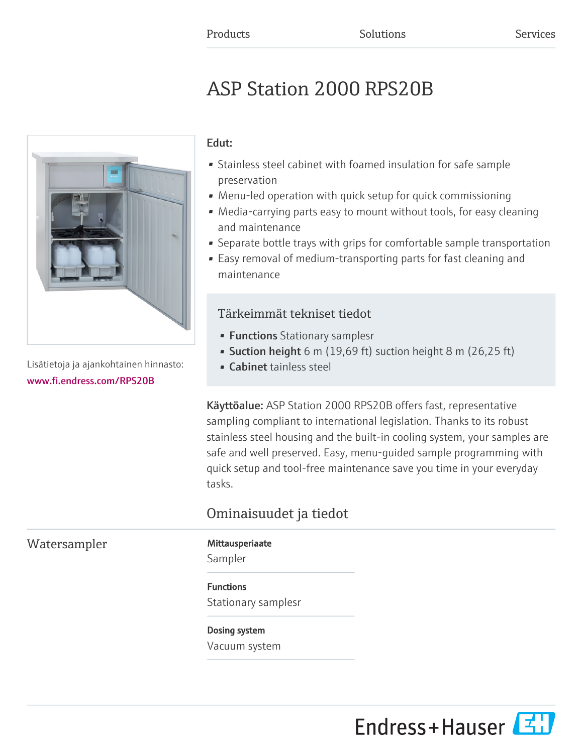# ASP Station 2000 RPS20B



Lisätietoja ja ajankohtainen hinnasto: [www.fi.endress.com/RPS20B](https://www.fi.endress.com/RPS20B)

### Edut:

- Stainless steel cabinet with foamed insulation for safe sample preservation
- Menu-led operation with quick setup for quick commissioning
- Media-carrying parts easy to mount without tools, for easy cleaning and maintenance
- Separate bottle trays with grips for comfortable sample transportation
- Easy removal of medium-transporting parts for fast cleaning and maintenance

## Tärkeimmät tekniset tiedot

- Functions Stationary samplesr
- Suction height 6 m (19,69 ft) suction height 8 m (26,25 ft)
- Cabinet tainless steel

Käyttöalue: ASP Station 2000 RPS20B offers fast, representative sampling compliant to international legislation. Thanks to its robust stainless steel housing and the built-in cooling system, your samples are safe and well preserved. Easy, menu-guided sample programming with quick setup and tool-free maintenance save you time in your everyday tasks.

# Ominaisuudet ja tiedot

# Watersampler Mittausperiaate

Sampler

#### Functions

Stationary samplesr

#### Dosing system

Vacuum system

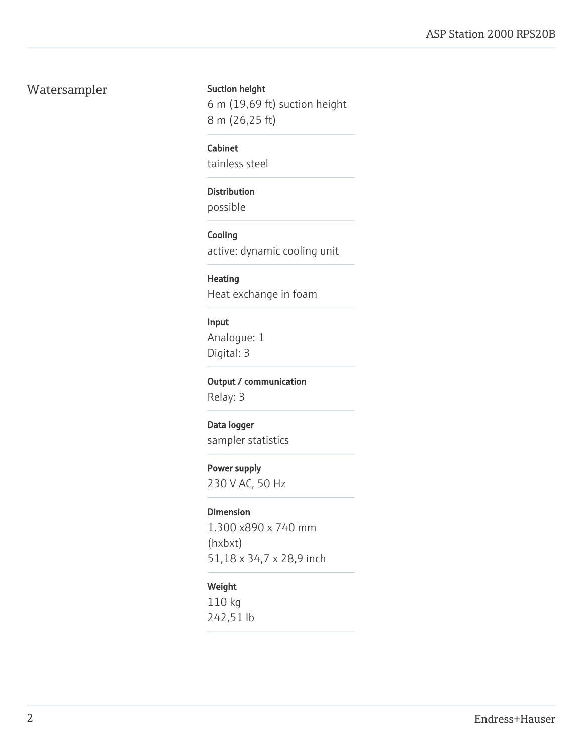### Watersampler Suction height

6 m (19,69 ft) suction height 8 m (26,25 ft)

#### Cabinet

tainless steel

#### Distribution

possible

#### **Cooling**

active: dynamic cooling unit

#### Heating

Heat exchange in foam

#### Input

Analogue: 1 Digital: 3

#### Output / communication

Relay: 3

#### Data logger

sampler statistics

#### Power supply

230 V AC, 50 Hz

#### Dimension

1.300 x890 x 740 mm (hxbxt) 51,18 x 34,7 x 28,9 inch

#### Weight

110 kg 242,51 lb